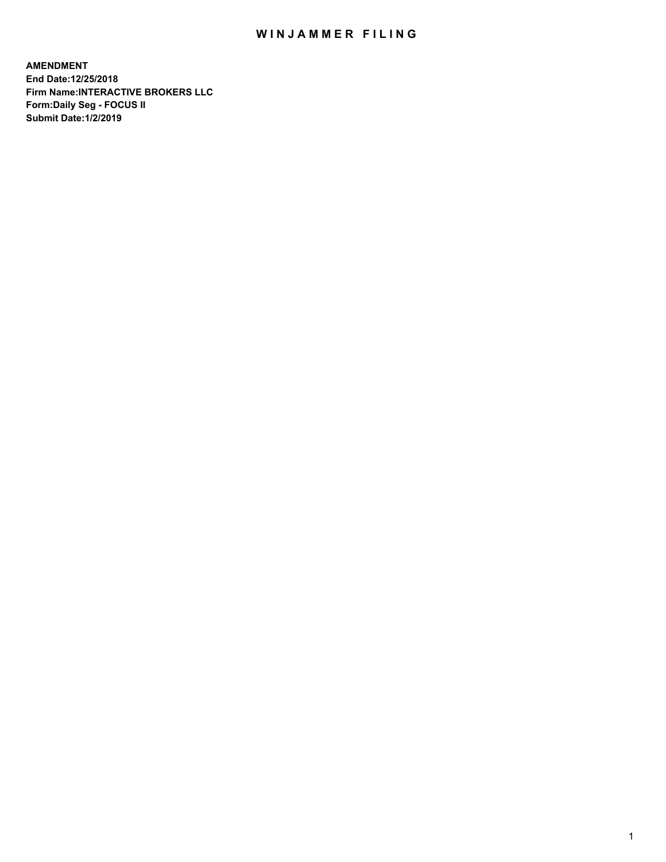## WIN JAMMER FILING

**AMENDMENT End Date:12/25/2018 Firm Name:INTERACTIVE BROKERS LLC Form:Daily Seg - FOCUS II Submit Date:1/2/2019**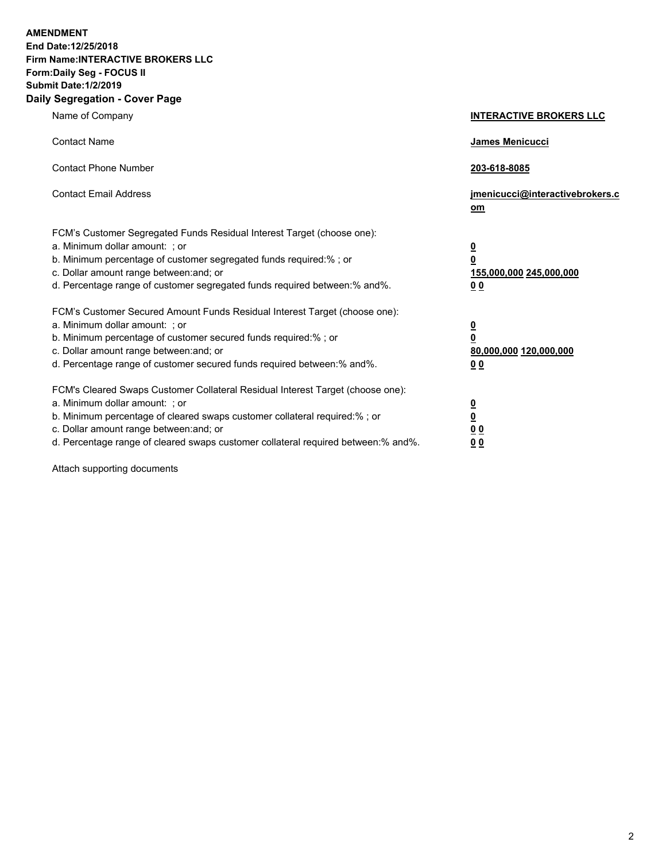**AMENDMENT End Date:12/25/2018 Firm Name:INTERACTIVE BROKERS LLC Form:Daily Seg - FOCUS II Submit Date:1/2/2019 Daily Segregation - Cover Page**

| Name of Company                                                                                                                                                                                                                                                                                                               | <b>INTERACTIVE BROKERS LLC</b>                                                     |
|-------------------------------------------------------------------------------------------------------------------------------------------------------------------------------------------------------------------------------------------------------------------------------------------------------------------------------|------------------------------------------------------------------------------------|
| <b>Contact Name</b>                                                                                                                                                                                                                                                                                                           | James Menicucci                                                                    |
| <b>Contact Phone Number</b>                                                                                                                                                                                                                                                                                                   | 203-618-8085                                                                       |
| <b>Contact Email Address</b>                                                                                                                                                                                                                                                                                                  | jmenicucci@interactivebrokers.c<br><u>om</u>                                       |
| FCM's Customer Segregated Funds Residual Interest Target (choose one):<br>a. Minimum dollar amount: ; or<br>b. Minimum percentage of customer segregated funds required:% ; or<br>c. Dollar amount range between: and; or<br>d. Percentage range of customer segregated funds required between:% and%.                        | $\overline{\mathbf{0}}$<br>0<br>155,000,000 245,000,000<br>0 <sub>0</sub>          |
| FCM's Customer Secured Amount Funds Residual Interest Target (choose one):<br>a. Minimum dollar amount: ; or<br>b. Minimum percentage of customer secured funds required:%; or<br>c. Dollar amount range between: and; or<br>d. Percentage range of customer secured funds required between:% and%.                           | $\overline{\mathbf{0}}$<br>$\mathbf 0$<br>80,000,000 120,000,000<br>0 <sub>0</sub> |
| FCM's Cleared Swaps Customer Collateral Residual Interest Target (choose one):<br>a. Minimum dollar amount: ; or<br>b. Minimum percentage of cleared swaps customer collateral required:%; or<br>c. Dollar amount range between: and; or<br>d. Percentage range of cleared swaps customer collateral required between:% and%. | $\frac{0}{0}$<br>$\underline{0}$ $\underline{0}$<br>0 <sup>0</sup>                 |

Attach supporting documents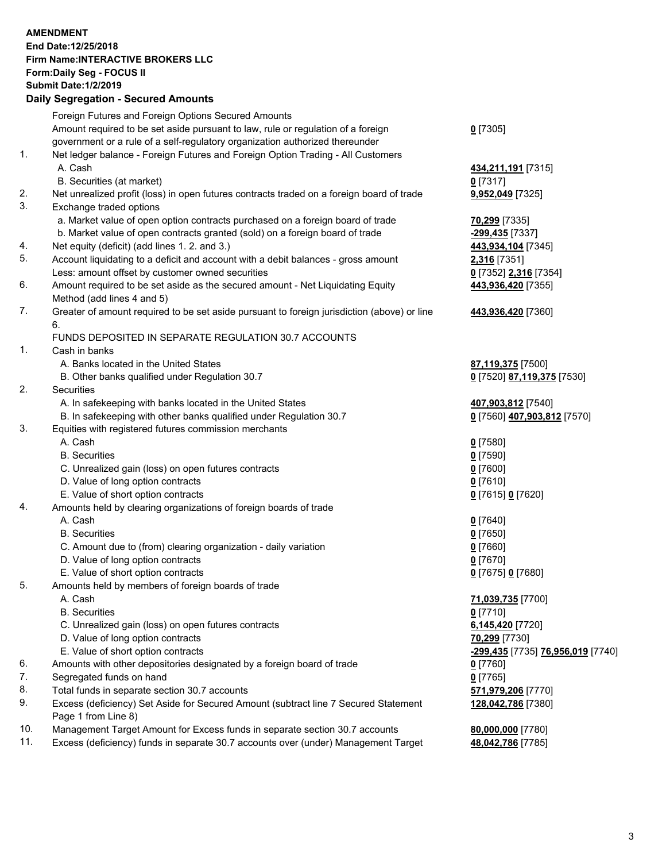## **AMENDMENT End Date:12/25/2018 Firm Name:INTERACTIVE BROKERS LLC Form:Daily Seg - FOCUS II Submit Date:1/2/2019 Daily Segregation - Secured Amounts** Foreign Futures and Foreign Options Secured Amounts

| Amount required to be set aside pursuant to law, rule or regulation of a foreign |
|----------------------------------------------------------------------------------|
|----------------------------------------------------------------------------------|

government or a rule of a self-regulatory organization authorized thereunder

## 1. Net ledger balance - Foreign Futures and Foreign Option Trading - All Customers A. Cash **434,211,191** [7315]

- B. Securities (at market) **0** [7317]
- 2. Net unrealized profit (loss) in open futures contracts traded on a foreign board of trade **9,952,049** [7325]
- 3. Exchange traded options
	- a. Market value of open option contracts purchased on a foreign board of trade **70,299** [7335]
	- b. Market value of open contracts granted (sold) on a foreign board of trade **-299,435** [7337]
- 4. Net equity (deficit) (add lines 1. 2. and 3.) **443,934,104** [7345]
- 5. Account liquidating to a deficit and account with a debit balances gross amount **2,316** [7351] Less: amount offset by customer owned securities **0** [7352] **2,316** [7354]
- 6. Amount required to be set aside as the secured amount Net Liquidating Equity Method (add lines 4 and 5)
- 7. Greater of amount required to be set aside pursuant to foreign jurisdiction (above) or line 6.

## FUNDS DEPOSITED IN SEPARATE REGULATION 30.7 ACCOUNTS

- 1. Cash in banks
	- A. Banks located in the United States **87,119,375** [7500]
	- B. Other banks qualified under Regulation 30.7 **0** [7520] **87,119,375** [7530]
- 2. Securities
	- A. In safekeeping with banks located in the United States **407,903,812** [7540]
	- B. In safekeeping with other banks qualified under Regulation 30.7 **0** [7560] **407,903,812** [7570]
- 3. Equities with registered futures commission merchants
	- A. Cash **0** [7580]
	- B. Securities **0** [7590]
	- C. Unrealized gain (loss) on open futures contracts **0** [7600]
	- D. Value of long option contracts **0** [7610]
	- E. Value of short option contracts **0** [7615] **0** [7620]
- 4. Amounts held by clearing organizations of foreign boards of trade
	- A. Cash **0** [7640]
	- B. Securities **0** [7650]
	- C. Amount due to (from) clearing organization daily variation **0** [7660]
	- D. Value of long option contracts **0** [7670]
	- E. Value of short option contracts **0** [7675] **0** [7680]
- 5. Amounts held by members of foreign boards of trade
	-
	- B. Securities **0** [7710]
	- C. Unrealized gain (loss) on open futures contracts **6,145,420** [7720]
	- D. Value of long option contracts **70,299** [7730]
	-
- 6. Amounts with other depositories designated by a foreign board of trade **0** [7760]
- 7. Segregated funds on hand **0** [7765]
- 8. Total funds in separate section 30.7 accounts **571,979,206** [7770]
- 9. Excess (deficiency) Set Aside for Secured Amount (subtract line 7 Secured Statement Page 1 from Line 8)
- 10. Management Target Amount for Excess funds in separate section 30.7 accounts **80,000,000** [7780]
- 11. Excess (deficiency) funds in separate 30.7 accounts over (under) Management Target **48,042,786** [7785]

**0** [7305]

- 
- **443,936,420** [7355]
- **443,936,420** [7360]
- 
- 
- 
- 
- A. Cash **71,039,735** [7700] E. Value of short option contracts **-299,435** [7735] **76,956,019** [7740] **128,042,786** [7380]
	-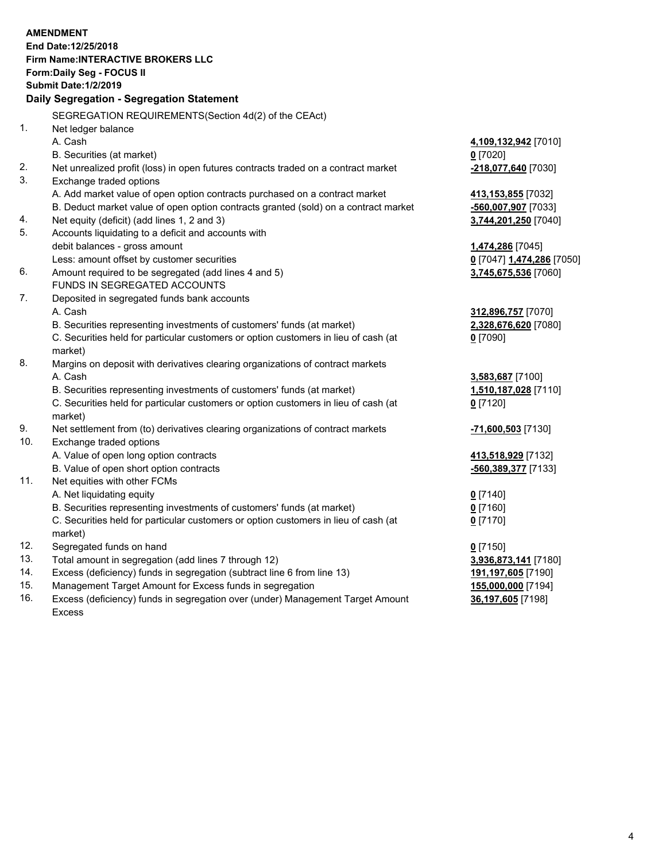|     | <b>AMENDMENT</b>                                                                                       |                                           |
|-----|--------------------------------------------------------------------------------------------------------|-------------------------------------------|
|     | End Date: 12/25/2018                                                                                   |                                           |
|     | <b>Firm Name: INTERACTIVE BROKERS LLC</b>                                                              |                                           |
|     | Form: Daily Seg - FOCUS II                                                                             |                                           |
|     | <b>Submit Date:1/2/2019</b>                                                                            |                                           |
|     | Daily Segregation - Segregation Statement                                                              |                                           |
|     | SEGREGATION REQUIREMENTS(Section 4d(2) of the CEAct)                                                   |                                           |
| 1.  | Net ledger balance                                                                                     |                                           |
|     | A. Cash                                                                                                |                                           |
|     | B. Securities (at market)                                                                              | 4,109,132,942 [7010]<br>$0$ [7020]        |
| 2.  | Net unrealized profit (loss) in open futures contracts traded on a contract market                     | -218,077,640 [7030]                       |
| 3.  |                                                                                                        |                                           |
|     | Exchange traded options<br>A. Add market value of open option contracts purchased on a contract market |                                           |
|     | B. Deduct market value of open option contracts granted (sold) on a contract market                    | 413,153,855 [7032]<br>-560,007,907 [7033] |
| 4.  | Net equity (deficit) (add lines 1, 2 and 3)                                                            | 3,744,201,250 [7040]                      |
| 5.  | Accounts liquidating to a deficit and accounts with                                                    |                                           |
|     | debit balances - gross amount                                                                          | 1,474,286 [7045]                          |
|     | Less: amount offset by customer securities                                                             | 0 [7047] 1,474,286 [7050]                 |
| 6.  | Amount required to be segregated (add lines 4 and 5)                                                   | 3,745,675,536 [7060]                      |
|     | FUNDS IN SEGREGATED ACCOUNTS                                                                           |                                           |
| 7.  | Deposited in segregated funds bank accounts                                                            |                                           |
|     | A. Cash                                                                                                | 312,896,757 [7070]                        |
|     | B. Securities representing investments of customers' funds (at market)                                 | 2,328,676,620 [7080]                      |
|     | C. Securities held for particular customers or option customers in lieu of cash (at                    | $0$ [7090]                                |
|     | market)                                                                                                |                                           |
| 8.  | Margins on deposit with derivatives clearing organizations of contract markets                         |                                           |
|     | A. Cash                                                                                                | 3,583,687 [7100]                          |
|     | B. Securities representing investments of customers' funds (at market)                                 | 1,510,187,028 [7110]                      |
|     | C. Securities held for particular customers or option customers in lieu of cash (at                    | $0$ [7120]                                |
|     | market)                                                                                                |                                           |
| 9.  | Net settlement from (to) derivatives clearing organizations of contract markets                        | -71,600,503 [7130]                        |
| 10. | Exchange traded options                                                                                |                                           |
|     | A. Value of open long option contracts                                                                 | 413,518,929 [7132]                        |
|     | B. Value of open short option contracts                                                                | -560,389,377 [7133]                       |
| 11. | Net equities with other FCMs                                                                           |                                           |
|     | A. Net liquidating equity                                                                              | $0$ [7140]                                |
|     | B. Securities representing investments of customers' funds (at market)                                 | $0$ [7160]                                |
|     | C. Securities held for particular customers or option customers in lieu of cash (at                    | $0$ [7170]                                |
|     | market)                                                                                                |                                           |
| 12. | Segregated funds on hand                                                                               | $0$ [7150]                                |
| 13. | Total amount in segregation (add lines 7 through 12)                                                   | 3,936,873,141 [7180]                      |
| 14. | Excess (deficiency) funds in segregation (subtract line 6 from line 13)                                | 191,197,605 [7190]                        |
| 15. | Management Target Amount for Excess funds in segregation                                               | 155,000,000 [7194]                        |
| 16. | Excess (deficiency) funds in segregation over (under) Management Target Amount                         | 36,197,605 [7198]                         |

Excess